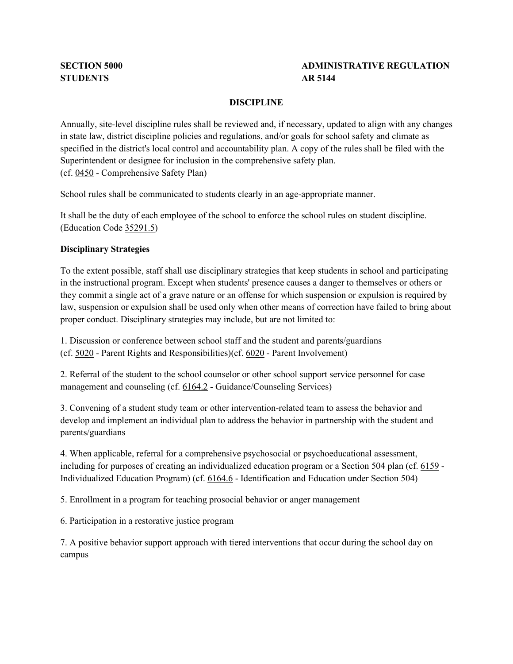# **SECTION 5000 ADMINISTRATIVE REGULATION**

#### **DISCIPLINE**

 Annually, site-level discipline rules shall be reviewed and, if necessary, updated to align with any changes specified in the district's local control and accountability plan. A copy of the rules shall be filed with the Superintendent or designee for inclusion in the comprehensive safety plan. (cf[. 0450](http://gamutonline.net/displayPolicy/1053052/5) - Comprehensive Safety Plan) in state law, district discipline policies and regulations, and/or goals for school safety and climate as

School rules shall be communicated to students clearly in an age-appropriate manner.

 It shall be the duty of each employee of the school to enforce the school rules on student discipline. (Education Code [35291.5\)](http://gamutonline.net/displayPolicy/131452/5)

#### **Disciplinary Strategies**

 To the extent possible, staff shall use disciplinary strategies that keep students in school and participating in the instructional program. Except when students' presence causes a danger to themselves or others or proper conduct. Disciplinary strategies may include, but are not limited to: they commit a single act of a grave nature or an offense for which suspension or expulsion is required by law, suspension or expulsion shall be used only when other means of correction have failed to bring about

1. Discussion or conference between school staff and the student and parents/guardians (cf[. 5020](http://gamutonline.net/displayPolicy/288762/5) - Parent Rights and Responsibilities)(cf. 6020 - Parent Involvement) (cf. 5020 - Parent Rights and Responsibilities) (cf. 6020 - Parent Involvement)

 2. Referral of the student to the school counselor or other school support service personnel for case management and counseling (cf[. 6164.2](http://gamutonline.net/displayPolicy/1036978/5) - Guidance/Counseling Services)

 3. Convening of a student study team or other intervention-related team to assess the behavior and develop and implement an individual plan to address the behavior in partnership with the student and parents/guardians

 including for purposes of creating an individualized education program or a Section 504 plan (cf. [6159](http://gamutonline.net/displayPolicy/292829/5) - Individualized Education Program) (cf[. 6164.6](http://gamutonline.net/displayPolicy/171048/5) - Identification and Education under Section 504) 4. When applicable, referral for a comprehensive psychosocial or psychoeducational assessment,

5. Enrollment in a program for teaching prosocial behavior or anger management

6. Participation in a restorative justice program

 7. A positive behavior support approach with tiered interventions that occur during the school day on campus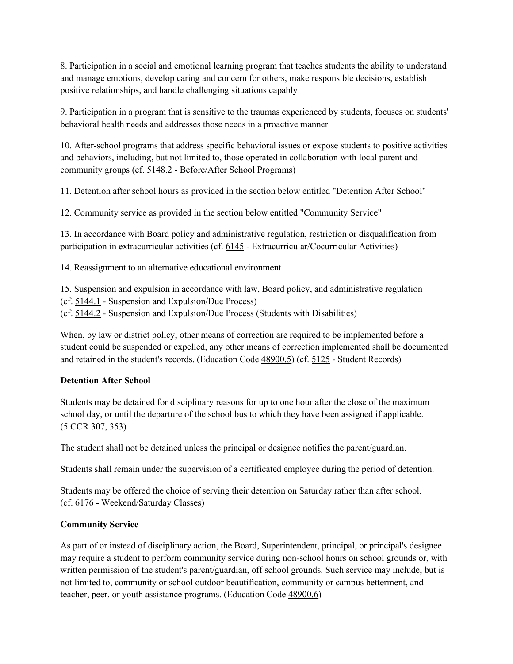8. Participation in a social and emotional learning program that teaches students the ability to understand and manage emotions, develop caring and concern for others, make responsible decisions, establish positive relationships, and handle challenging situations capably

 9. Participation in a program that is sensitive to the traumas experienced by students, focuses on students' behavioral health needs and addresses those needs in a proactive manner

 and behaviors, including, but not limited to, those operated in collaboration with local parent and community groups (cf. [5148.2](http://gamutonline.net/displayPolicy/1002212/5) - Before/After School Programs) 10. After-school programs that address specific behavioral issues or expose students to positive activities

11. Detention after school hours as provided in the section below entitled "Detention After School"

12. Community service as provided in the section below entitled "Community Service"

participation in extracurricular activities (cf. [6145](http://gamutonline.net/displayPolicy/1075009/5) - Extracurricular/Cocurricular Activities) 13. In accordance with Board policy and administrative regulation, restriction or disqualification from

14. Reassignment to an alternative educational environment

 (cf[. 5144.1](http://gamutonline.net/displayPolicy/909488/5) - Suspension and Expulsion/Due Process) (cf[. 5144.2](http://gamutonline.net/displayPolicy/288773/5) - Suspension and Expulsion/Due Process (Students with Disabilities) 15. Suspension and expulsion in accordance with law, Board policy, and administrative regulation

 student could be suspended or expelled, any other means of correction implemented shall be documented and retained in the student's records. (Education Code [48900.5\)](http://gamutonline.net/displayPolicy/132224/5) (cf. [5125](http://gamutonline.net/displayPolicy/559084/5) - Student Records) When, by law or district policy, other means of correction are required to be implemented before a

### **Detention After School**

 Students may be detained for disciplinary reasons for up to one hour after the close of the maximum school day, or until the departure of the school bus to which they have been assigned if applicable. (5 CCR [307,](http://gamutonline.net/displayPolicy/186807/5) [353\)](http://gamutonline.net/displayPolicy/186811/5)

The student shall not be detained unless the principal or designee notifies the parent/guardian.

Students shall remain under the supervision of a certificated employee during the period of detention.

Students may be offered the choice of serving their detention on Saturday rather than after school.<br>(cf[. 6176](http://gamutonline.net/displayPolicy/226671/5) - Weekend/Saturday Classes) (cf. 6176 - Weekend/Saturday Classes)

# **Community Service**

 As part of or instead of disciplinary action, the Board, Superintendent, principal, or principal's designee may require a student to perform community service during non-school hours on school grounds or, with written permission of the student's parent/guardian, off school grounds. Such service may include, but is not limited to, community or school outdoor beautification, community or campus betterment, and teacher, peer, or youth assistance programs. (Education Code [48900.6\)](http://gamutonline.net/displayPolicy/226352/5)